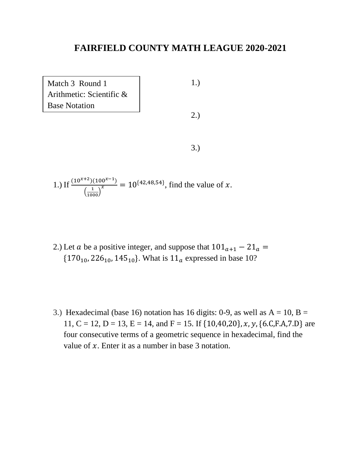| Match 3 Round 1          | 1.  |
|--------------------------|-----|
| Arithmetic: Scientific & |     |
| <b>Base Notation</b>     |     |
|                          | 2.) |
|                          |     |
|                          |     |
|                          |     |

1.) If 
$$
\frac{(10^{x+2})(100^{x-1})}{\left(\frac{1}{1000}\right)^x} = 10^{\{42,48,54\}}
$$
, find the value of x.

- 2.) Let *a* be a positive integer, and suppose that  $101_{a+1} 21_a =$  ${170_{10}}$ , 226<sub>10</sub>, 145<sub>10</sub>. What is  ${11_a}$  expressed in base 10?
- 3.) Hexadecimal (base 16) notation has 16 digits: 0-9, as well as  $A = 10$ ,  $B =$ 11, C = 12, D = 13, E = 14, and F = 15. If  $\{10,40,20\}$ , x, y,  $\{6.C.F.A.7.D\}$  are four consecutive terms of a geometric sequence in hexadecimal, find the value of  $x$ . Enter it as a number in base 3 notation.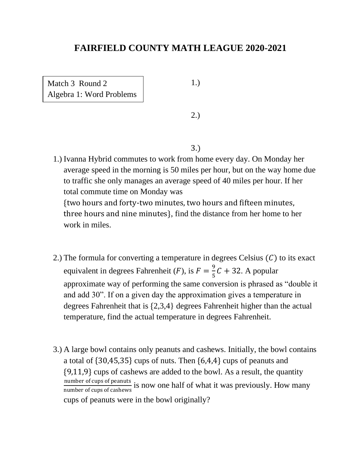Match 3 Round 2 Algebra 1: Word Problems 1.)

2.)

3.)

1.) Ivanna Hybrid commutes to work from home every day. On Monday her average speed in the morning is 50 miles per hour, but on the way home due to traffic she only manages an average speed of 40 miles per hour. If her total commute time on Monday was

{two hours and forty-two minutes, two hours and fifteen minutes, three hours and nine minutes}, find the distance from her home to her work in miles.

- 2.) The formula for converting a temperature in degrees Celsius  $(C)$  to its exact equivalent in degrees Fahrenheit (*F*), is  $F = \frac{9}{5}$  $\frac{5}{5}C + 32$ . A popular approximate way of performing the same conversion is phrased as "double it and add 30". If on a given day the approximation gives a temperature in degrees Fahrenheit that is {2,3,4} degrees Fahrenheit higher than the actual temperature, find the actual temperature in degrees Fahrenheit.
- 3.) A large bowl contains only peanuts and cashews. Initially, the bowl contains a total of {30,45,35} cups of nuts. Then {6,4,4} cups of peanuts and {9,11,9} cups of cashews are added to the bowl. As a result, the quantity number of cups of peanuts is now one half of what it was previously. How many number of cups of cashews cups of peanuts were in the bowl originally?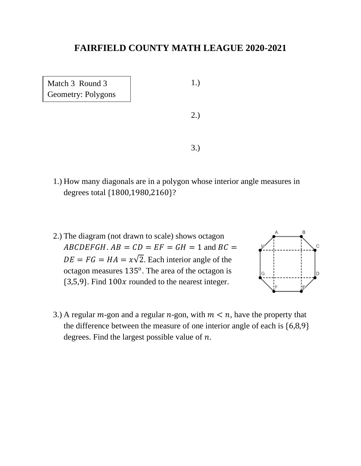Match 3 Round 3 Geometry: Polygons 1.)

2.)

3.)

- 1.) How many diagonals are in a polygon whose interior angle measures in degrees total {1800,1980,2160}?
- 2.) The diagram (not drawn to scale) shows octagon  $ABCDEFGH$ .  $AB = CD = EF = GH = 1$  and  $BC =$  $DE = FG = HA = x\sqrt{2}$ . Each interior angle of the octagon measures  $135^{\circ}$ . The area of the octagon is  ${3,5,9}$ . Find  $100x$  rounded to the nearest integer.



3.) A regular  $m$ -gon and a regular  $n$ -gon, with  $m < n$ , have the property that the difference between the measure of one interior angle of each is {6,8,9} degrees. Find the largest possible value of  $n$ .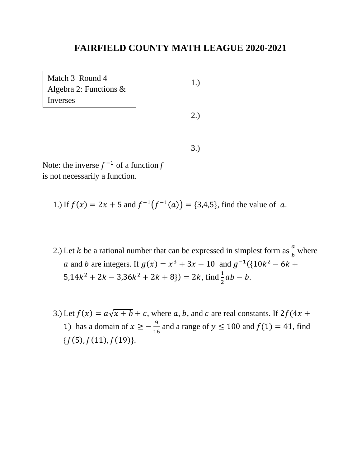1.) 2.) Match 3 Round 4 Algebra 2: Functions & Inverses

Note: the inverse  $f^{-1}$  of a function *f* is not necessarily a function.

1.) If  $f(x) = 2x + 5$  and  $f^{-1}(f^{-1}(a)) = \{3,4,5\}$ , find the value of a.

2.) Let *k* be a rational number that can be expressed in simplest form as  $\frac{a}{b}$  where a and b are integers. If  $g(x) = x^3 + 3x - 10$  and  $g^{-1}({10k^2 - 6k + }$  $5,14k^2 + 2k - 3,36k^2 + 2k + 8$   $) = 2k$ , find  $\frac{1}{2}ab - b$ .

3.)

3.) Let  $f(x) = a\sqrt{x + b} + c$ , where a, b, and c are real constants. If  $2f(4x +$ 1) has a domain of  $x \geq -\frac{9}{16}$  $\frac{1}{16}$  and a range of  $y \le 100$  and  $f(1) = 41$ , find  ${f(5), f(11), f(19)}.$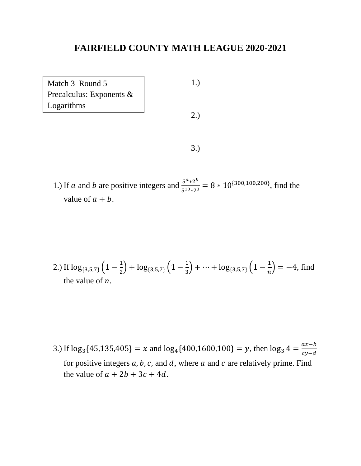| Match 3 Round 5             | 1.) |
|-----------------------------|-----|
| Precalculus: Exponents $\&$ |     |
| Logarithms                  |     |
|                             | 2.5 |
|                             |     |
|                             |     |
|                             |     |

1.) If *a* and *b* are positive integers and  $\frac{5^{a} \times 2^{b}}{5^{10} \times 3^{25}}$  $rac{5^{10}*2^{10}}{5^{10}*2^3}$  = 8 \* 10<sup>{300,100,200}</sup>, find the value of  $a + b$ .

2.) If 
$$
\log_{\{3,5,7\}}\left(1-\frac{1}{2}\right) + \log_{\{3,5,7\}}\left(1-\frac{1}{3}\right) + \dots + \log_{\{3,5,7\}}\left(1-\frac{1}{n}\right) = -4
$$
, find the value of *n*.

3.) If  $\log_3{45,135,405} = x$  and  $\log_4{400,1600,100} = y$ , then  $\log_3{4} = \frac{ax-b}{cx-d}$  $cy-d$ for positive integers  $a, b, c$ , and  $d$ , where  $a$  and  $c$  are relatively prime. Find the value of  $a + 2b + 3c + 4d$ .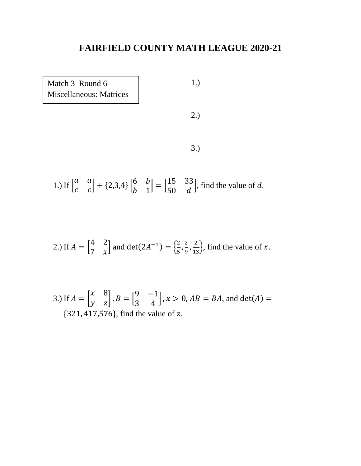

 $1.)$  If  $\vert$ a a  $\begin{bmatrix} a & a \\ c & c \end{bmatrix} + \{2,3,4\} \begin{bmatrix} 6 & b \\ b & 1 \end{bmatrix}$ b 1  $=\begin{bmatrix} 15 & 33 \\ 50 & 3 \end{bmatrix}$ 50 d , find the value of  $d$ .

2.) If 
$$
A = \begin{bmatrix} 4 & 2 \\ 7 & x \end{bmatrix}
$$
 and  $det(2A^{-1}) = \begin{Bmatrix} \frac{2}{5}, \frac{2}{9}, \frac{2}{13} \end{Bmatrix}$ , find the value of x.

3.) If 
$$
A = \begin{bmatrix} x & 8 \\ y & z \end{bmatrix}
$$
,  $B = \begin{bmatrix} 9 & -1 \\ 3 & 4 \end{bmatrix}$ ,  $x > 0$ ,  $AB = BA$ , and  $det(A) =$   
{321, 417,576}, find the value of z.